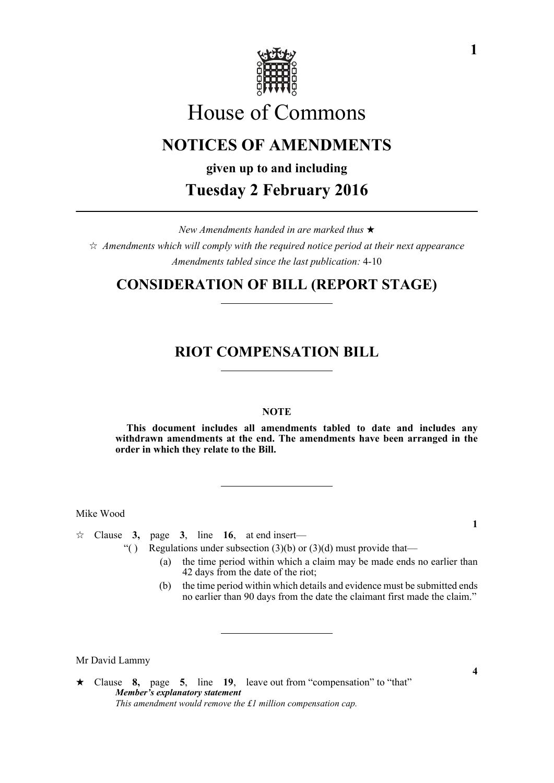

# House of Commons

# **NOTICES OF AMENDMENTS**

**given up to and including**

# **Tuesday 2 February 2016**

*New Amendments handed in are marked thus*   $\hat{\varphi}$  Amendments which will comply with the required notice period at their next appearance *Amendments tabled since the last publication:* 4-10

## **CONSIDERATION OF BILL (REPORT STAGE)**

## **RIOT COMPENSATION BILL**

#### **NOTE**

**This document includes all amendments tabled to date and includes any withdrawn amendments at the end. The amendments have been arranged in the order in which they relate to the Bill.**

Mike Wood

 $\approx$  Clause **3**, page **3**, line **16**, at end insert—

- "( ) Regulations under subsection  $(3)(b)$  or  $(3)(d)$  must provide that—
	- (a) the time period within which a claim may be made ends no earlier than 42 days from the date of the riot;
	- (b) the time period within which details and evidence must be submitted ends no earlier than 90 days from the date the claimant first made the claim."

Mr David Lammy

**1**

**4**

Clause **8,** page **5**, line **19**, leave out from "compensation" to "that" *Member's explanatory statement This amendment would remove the £1 million compensation cap.*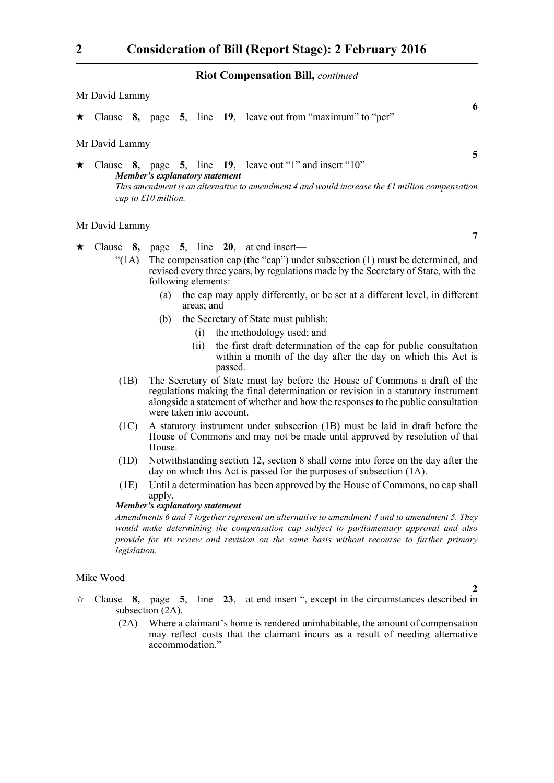#### **Riot Compensation Bill,** *continued*

|         | Mr David Lammy                                                                                                                                                                                                                                 |  |  |  |                                                                      |   |
|---------|------------------------------------------------------------------------------------------------------------------------------------------------------------------------------------------------------------------------------------------------|--|--|--|----------------------------------------------------------------------|---|
|         |                                                                                                                                                                                                                                                |  |  |  | $\star$ Clause 8, page 5, line 19, leave out from "maximum" to "per" | 6 |
|         | Mr David Lammy                                                                                                                                                                                                                                 |  |  |  |                                                                      |   |
| $\star$ | Clause $8$ , page $5$ , line $19$ , leave out "1" and insert "10"<br>Member's explanatory statement<br>This amendment is an alternative to amendment 4 and would increase the $\pounds$ l million compensation<br>cap to $\pounds 10$ million. |  |  |  |                                                                      |   |
|         | Mr David Lammy                                                                                                                                                                                                                                 |  |  |  |                                                                      |   |

- $\star$  Clause 8, page 5, line 20, at end insert—
	- " $(1A)$  The compensation cap (the "cap") under subsection  $(1)$  must be determined, and revised every three years, by regulations made by the Secretary of State, with the following elements:
		- (a) the cap may apply differently, or be set at a different level, in different areas; and
		- (b) the Secretary of State must publish:
			- (i) the methodology used; and
			- (ii) the first draft determination of the cap for public consultation within a month of the day after the day on which this Act is passed.
	- (1B) The Secretary of State must lay before the House of Commons a draft of the regulations making the final determination or revision in a statutory instrument alongside a statement of whether and how the responses to the public consultation were taken into account.
	- (1C) A statutory instrument under subsection (1B) must be laid in draft before the House of Commons and may not be made until approved by resolution of that House.
	- (1D) Notwithstanding section 12, section 8 shall come into force on the day after the day on which this Act is passed for the purposes of subsection (1A).
	- (1E) Until a determination has been approved by the House of Commons, no cap shall apply.

#### *Member's explanatory statement*

*Amendments 6 and 7 together represent an alternative to amendment 4 and to amendment 5. They would make determining the compensation cap subject to parliamentary approval and also provide for its review and revision on the same basis without recourse to further primary legislation.*

#### Mike Wood

- $\forall$  Clause **8,** page **5**, line **23**, at end insert ", except in the circumstances described in subsection (2A).
	- (2A) Where a claimant's home is rendered uninhabitable, the amount of compensation may reflect costs that the claimant incurs as a result of needing alternative accommodation."

**5**

**2**